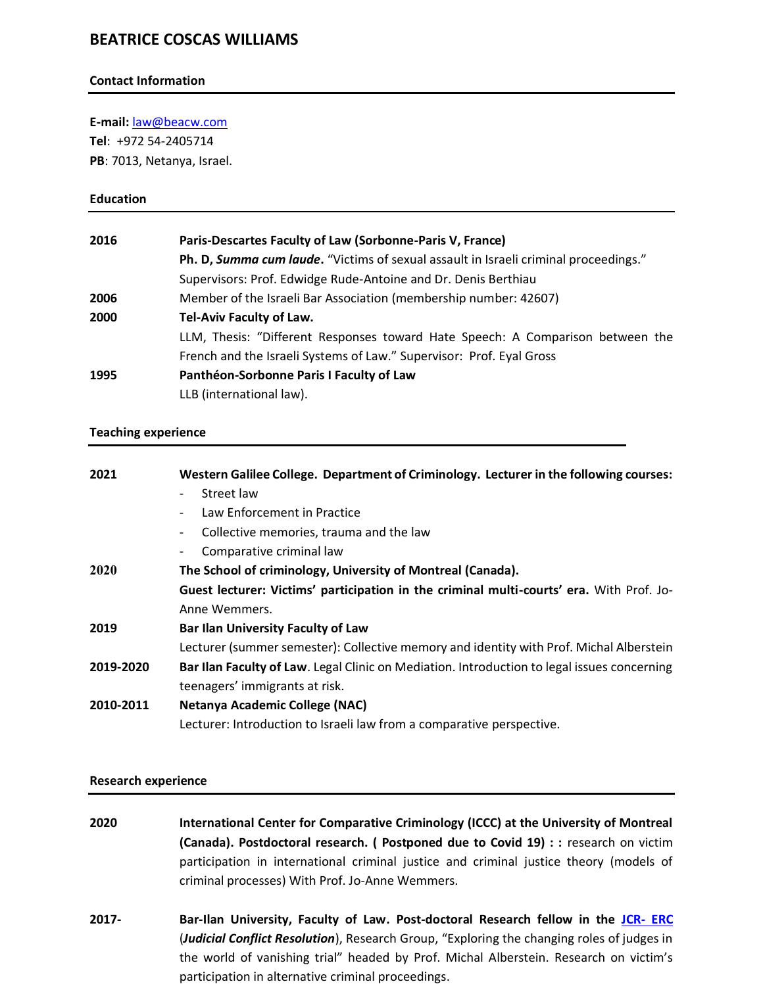# **BEATRICE COSCAS WILLIAMS**

#### **Contact Information**

**E-mail:** [law@beacw.com](mailto:law@beacw.com)

**Tel**: +972 54-2405714 **PB**: 7013, Netanya, Israel.

#### **Education**

| 2016 | Paris-Descartes Faculty of Law (Sorbonne-Paris V, France)                            |
|------|--------------------------------------------------------------------------------------|
|      | Ph. D, Summa cum laude. "Victims of sexual assault in Israeli criminal proceedings." |
|      | Supervisors: Prof. Edwidge Rude-Antoine and Dr. Denis Berthiau                       |
| 2006 | Member of the Israeli Bar Association (membership number: 42607)                     |
| 2000 | Tel-Aviv Faculty of Law.                                                             |
|      | LLM, Thesis: "Different Responses toward Hate Speech: A Comparison between the       |
|      | French and the Israeli Systems of Law." Supervisor: Prof. Eyal Gross                 |
| 1995 | Panthéon-Sorbonne Paris I Faculty of Law                                             |
|      | LLB (international law).                                                             |

### **Teaching experience**

| 2021      | Western Galilee College. Department of Criminology. Lecturer in the following courses:      |
|-----------|---------------------------------------------------------------------------------------------|
|           | Street law<br>$\overline{\phantom{a}}$                                                      |
|           | Law Enforcement in Practice<br>$\overline{\phantom{a}}$                                     |
|           | Collective memories, trauma and the law<br>$\overline{\phantom{a}}$                         |
|           | Comparative criminal law<br>$\overline{\phantom{a}}$                                        |
| 2020      | The School of criminology, University of Montreal (Canada).                                 |
|           | Guest lecturer: Victims' participation in the criminal multi-courts' era. With Prof. Jo-    |
|           | Anne Wemmers.                                                                               |
| 2019      | <b>Bar Ilan University Faculty of Law</b>                                                   |
|           | Lecturer (summer semester): Collective memory and identity with Prof. Michal Alberstein     |
| 2019-2020 | Bar Ilan Faculty of Law. Legal Clinic on Mediation. Introduction to legal issues concerning |
|           | teenagers' immigrants at risk.                                                              |
| 2010-2011 | <b>Netanya Academic College (NAC)</b>                                                       |
|           | Lecturer: Introduction to Israeli law from a comparative perspective.                       |

### **Research experience**

| 2020     | International Center for Comparative Criminology (ICCC) at the University of Montreal                                                     |
|----------|-------------------------------------------------------------------------------------------------------------------------------------------|
|          | (Canada). Postdoctoral research. (Postponed due to Covid 19) : : research on victim                                                       |
|          | participation in international criminal justice and criminal justice theory (models of<br>criminal processes) With Prof. Jo-Anne Wemmers. |
| $2017 -$ | Bar-Ilan University, Faculty of Law. Post-doctoral Research fellow in the JCR-ERC                                                         |

(*Judicial Conflict Resolution*), Research Group, "Exploring the changing roles of judges in the world of vanishing trial" headed by Prof. Michal Alberstein. Research on victim's participation in alternative criminal proceedings.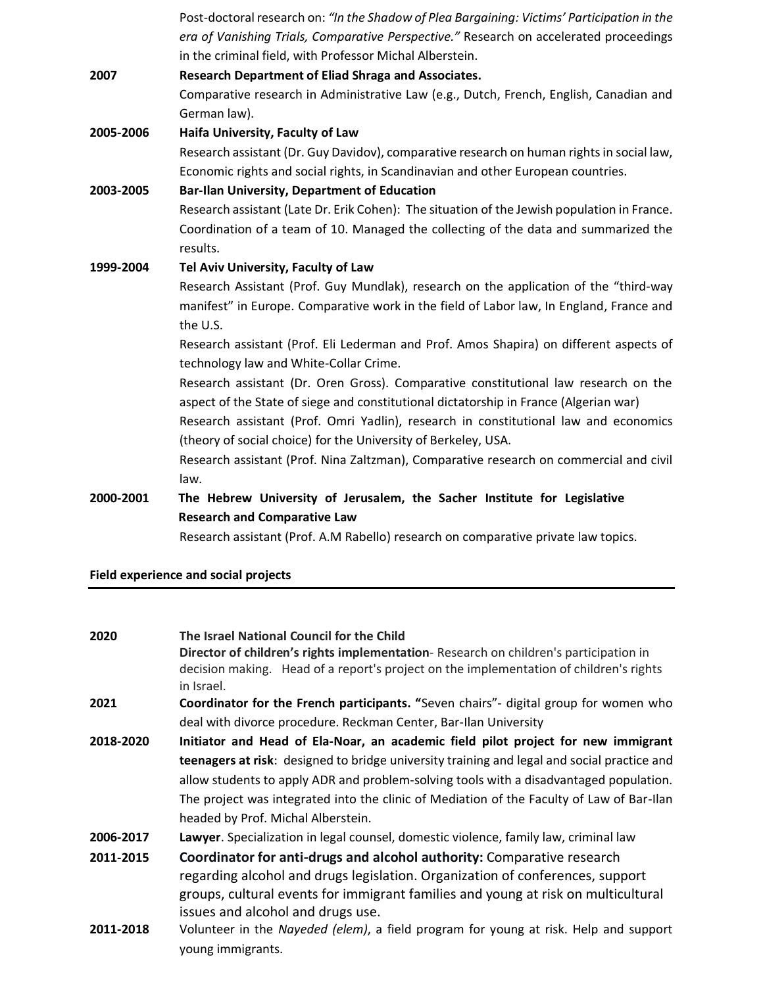|           | Post-doctoral research on: "In the Shadow of Plea Bargaining: Victims' Participation in the<br>era of Vanishing Trials, Comparative Perspective." Research on accelerated proceedings<br>in the criminal field, with Professor Michal Alberstein. |
|-----------|---------------------------------------------------------------------------------------------------------------------------------------------------------------------------------------------------------------------------------------------------|
| 2007      | Research Department of Eliad Shraga and Associates.                                                                                                                                                                                               |
|           | Comparative research in Administrative Law (e.g., Dutch, French, English, Canadian and                                                                                                                                                            |
|           | German law).                                                                                                                                                                                                                                      |
| 2005-2006 | Haifa University, Faculty of Law                                                                                                                                                                                                                  |
|           | Research assistant (Dr. Guy Davidov), comparative research on human rights in social law,                                                                                                                                                         |
|           | Economic rights and social rights, in Scandinavian and other European countries.                                                                                                                                                                  |
| 2003-2005 | <b>Bar-Ilan University, Department of Education</b>                                                                                                                                                                                               |
|           | Research assistant (Late Dr. Erik Cohen): The situation of the Jewish population in France.                                                                                                                                                       |
|           | Coordination of a team of 10. Managed the collecting of the data and summarized the                                                                                                                                                               |
|           | results.                                                                                                                                                                                                                                          |
| 1999-2004 | Tel Aviv University, Faculty of Law                                                                                                                                                                                                               |
|           | Research Assistant (Prof. Guy Mundlak), research on the application of the "third-way                                                                                                                                                             |
|           | manifest" in Europe. Comparative work in the field of Labor law, In England, France and                                                                                                                                                           |
|           | the U.S.                                                                                                                                                                                                                                          |
|           | Research assistant (Prof. Eli Lederman and Prof. Amos Shapira) on different aspects of<br>technology law and White-Collar Crime.                                                                                                                  |
|           | Research assistant (Dr. Oren Gross). Comparative constitutional law research on the<br>aspect of the State of siege and constitutional dictatorship in France (Algerian war)                                                                      |
|           | Research assistant (Prof. Omri Yadlin), research in constitutional law and economics                                                                                                                                                              |
|           | (theory of social choice) for the University of Berkeley, USA.                                                                                                                                                                                    |
|           | Research assistant (Prof. Nina Zaltzman), Comparative research on commercial and civil                                                                                                                                                            |
|           | law.                                                                                                                                                                                                                                              |
| 2000-2001 | The Hebrew University of Jerusalem, the Sacher Institute for Legislative                                                                                                                                                                          |
|           | <b>Research and Comparative Law</b>                                                                                                                                                                                                               |
|           | Research assistant (Prof. A.M Rabello) research on comparative private law topics.                                                                                                                                                                |
|           |                                                                                                                                                                                                                                                   |

**Field experience and social projects** 

| 2020      | The Israel National Council for the Child<br>Director of children's rights implementation-Research on children's participation in<br>decision making. Head of a report's project on the implementation of children's rights<br>in Israel.                                         |
|-----------|-----------------------------------------------------------------------------------------------------------------------------------------------------------------------------------------------------------------------------------------------------------------------------------|
| 2021      | Coordinator for the French participants. "Seven chairs"- digital group for women who                                                                                                                                                                                              |
|           | deal with divorce procedure. Reckman Center, Bar-Ilan University                                                                                                                                                                                                                  |
| 2018-2020 | Initiator and Head of Ela-Noar, an academic field pilot project for new immigrant                                                                                                                                                                                                 |
|           | teenagers at risk: designed to bridge university training and legal and social practice and                                                                                                                                                                                       |
|           | allow students to apply ADR and problem-solving tools with a disadvantaged population.                                                                                                                                                                                            |
|           | The project was integrated into the clinic of Mediation of the Faculty of Law of Bar-Ilan                                                                                                                                                                                         |
|           | headed by Prof. Michal Alberstein.                                                                                                                                                                                                                                                |
| 2006-2017 | Lawyer. Specialization in legal counsel, domestic violence, family law, criminal law                                                                                                                                                                                              |
| 2011-2015 | Coordinator for anti-drugs and alcohol authority: Comparative research<br>regarding alcohol and drugs legislation. Organization of conferences, support<br>groups, cultural events for immigrant families and young at risk on multicultural<br>issues and alcohol and drugs use. |
| 2011-2018 | Volunteer in the Nayeded (elem), a field program for young at risk. Help and support<br>young immigrants.                                                                                                                                                                         |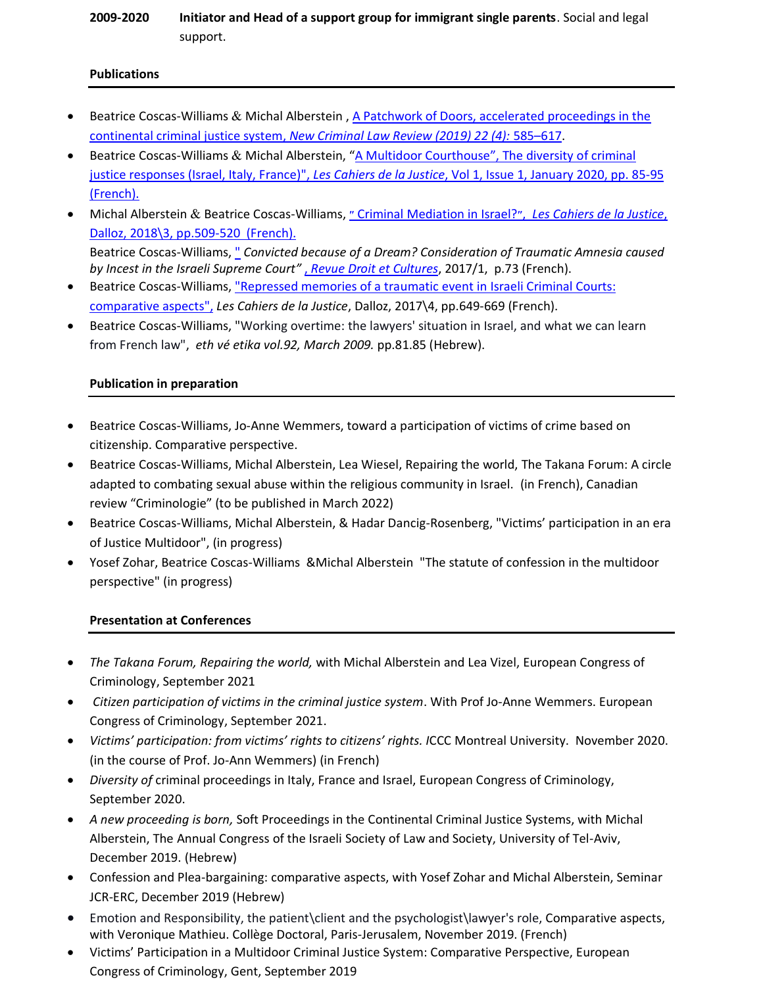# **2009-2020 Initiator and Head of a support group for immigrant single parents**. Social and legal support.

#### **Publications**

- Beatrice Coscas-Williams & Michal Alberstein, [A Patchwork of Doors, accelerated](https://online.ucpress.edu/nclr/article/22/4/585/109846/A-Patchwork-of-DoorsAccelerated-Proceedings-in) proceedings in the [continental criminal justice system,](https://online.ucpress.edu/nclr/article/22/4/585/109846/A-Patchwork-of-DoorsAccelerated-Proceedings-in) *New Criminal Law Review (2019) 22 (4):* 585–617.
- Beatrice Coscas-Williams & Michal Alberstein, ["A Multidoor Courthouse",](https://www.cairn-int.info/article-E_CDLJ_2001_0085--a-multi-door-courthouse-the.htm) The diversity of criminal [justice responses \(Israel, Italy, France\)",](https://www.cairn-int.info/article-E_CDLJ_2001_0085--a-multi-door-courthouse-the.htm) *Les Cahiers de la Justice*, Vol 1, Issue 1, January 2020, pp. 85-95 [\(French\).](https://www.cairn-int.info/article-E_CDLJ_2001_0085--a-multi-door-courthouse-the.htm)
- Michal Alberstein & Beatrice Coscas-Williams, ״ [Criminal Mediation in Israel?](https://www.cairn.info/revue-les-cahiers-de-la-justice-2018-3-page-509.html)״, *Les Cahiers de la Justice*[,](https://www.cairn.info/revue-les-cahiers-de-la-justice-2018-3-page-509.html)  Dalloz, [2018\3, pp.509-520](https://www.cairn.info/revue-les-cahiers-de-la-justice-2018-3-page-509.html) (French). Beatrice Coscas-Williams, " *[Convicted because of a Dream? Consideration of Traumatic Amnesia caused](https://journals.openedition.org/droitcultures/4130)  [by Incest in the Israeli Supreme Court](https://journals.openedition.org/droitcultures/4130)"* , *Revue Droit et Cultures*, 2017/1, p.73 (French).
- Beatrice Coscas-Williams, ["Repressed memories of a traumatic event in](https://www.cairn.info/load_pdf.php?ID_ARTICLE=CDLJ_1604_0649&download=1) Israeli Criminal Courts: [comparative aspects",](https://www.cairn.info/load_pdf.php?ID_ARTICLE=CDLJ_1604_0649&download=1) *Les Cahiers de la Justice*, Dalloz, 2017\4, pp.649-669 (French).
- Beatrice Coscas-Williams, "Working overtime: the lawyers' situation in Israel, and what we can learn from French law", *eth vé etika vol.92, March 2009.* pp.81.85 (Hebrew).

### **Publication in preparation**

- Beatrice Coscas-Williams, Jo-Anne Wemmers, toward a participation of victims of crime based on citizenship. Comparative perspective.
- Beatrice Coscas-Williams, Michal Alberstein, Lea Wiesel, Repairing the world, The Takana Forum: A circle adapted to combating sexual abuse within the religious community in Israel. (in French), Canadian review "Criminologie" (to be published in March 2022)
- Beatrice Coscas-Williams, Michal Alberstein, & Hadar Dancig-Rosenberg, "Victims' participation in an era of Justice Multidoor", (in progress)
- Yosef Zohar, Beatrice Coscas-Williams &Michal Alberstein "The statute of confession in the multidoor perspective" (in progress)

## **Presentation at Conferences**

- *The Takana Forum, Repairing the world,* with Michal Alberstein and Lea Vizel, European Congress of Criminology, September 2021
- *Citizen participation of victims in the criminal justice system*. With Prof Jo-Anne Wemmers. European Congress of Criminology, September 2021.
- *Victims' participation: from victims' rights to citizens' rights. I*CCC Montreal University. November 2020. (in the course of Prof. Jo-Ann Wemmers) (in French)
- *Diversity of* criminal proceedings in Italy, France and Israel, European Congress of Criminology, September 2020.
- *A new proceeding is born,* Soft Proceedings in the Continental Criminal Justice Systems, with Michal Alberstein, The Annual Congress of the Israeli Society of Law and Society, University of Tel-Aviv, December 2019. (Hebrew)
- Confession and Plea-bargaining: comparative aspects, with Yosef Zohar and Michal Alberstein, Seminar JCR-ERC, December 2019 (Hebrew)
- Emotion and Responsibility, the patient\client and the psychologist\lawyer's role, Comparative aspects, with Veronique Mathieu. Collège Doctoral, Paris-Jerusalem, November 2019. (French)
- Victims' Participation in a Multidoor Criminal Justice System: Comparative Perspective, European Congress of Criminology, Gent, September 2019